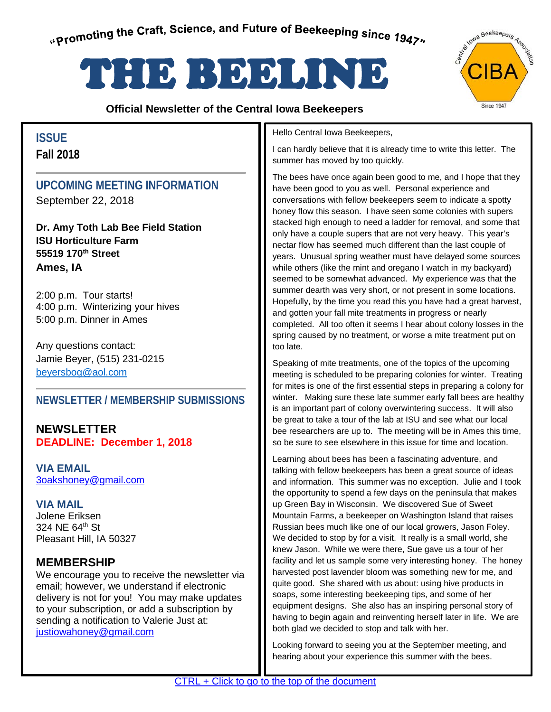# <span id="page-0-0"></span>THE BEELING STREET

## **Official Newsletter of the Central Iowa Beekeepers**



## **ISSUE Fall 2018**

## **UPCOMING MEETING INFORMATION**

September 22, 2018

**Dr. Amy Toth Lab Bee Field Station ISU Horticulture Farm 55519 170th Street Ames, IA**

2:00 p.m. Tour starts! 4:00 p.m. Winterizing your hives 5:00 p.m. Dinner in Ames

Any questions contact: Jamie Beyer, (515) 231-0215 [beyersbog@aol.com](mailto:beyersbog@aol.com)

## **NEWSLETTER / MEMBERSHIP SUBMISSIONS**

**NEWSLETTER DEADLINE: December 1, 2018**

**VIA EMAIL**  [3oakshoney@gmail.com](mailto:3oakshoney@gmail.com)

**VIA MAIL** Jolene Eriksen 324 NE  $64^{\text{th}}$  St Pleasant Hill, IA 50327

## **MEMBERSHIP**

We encourage you to receive the newsletter via email; however, we understand if electronic delivery is not for you! You may make updates to your subscription, or add a subscription by sending a notification to Valerie Just at: justiowahoney@gmail.com

#### Hello Central Iowa Beekeepers,

I can hardly believe that it is already time to write this letter. The summer has moved by too quickly.

The bees have once again been good to me, and I hope that they have been good to you as well. Personal experience and conversations with fellow beekeepers seem to indicate a spotty honey flow this season. I have seen some colonies with supers stacked high enough to need a ladder for removal, and some that only have a couple supers that are not very heavy. This year's nectar flow has seemed much different than the last couple of years. Unusual spring weather must have delayed some sources while others (like the mint and oregano I watch in my backyard) seemed to be somewhat advanced. My experience was that the summer dearth was very short, or not present in some locations. Hopefully, by the time you read this you have had a great harvest, and gotten your fall mite treatments in progress or nearly completed. All too often it seems I hear about colony losses in the spring caused by no treatment, or worse a mite treatment put on too late.

Speaking of mite treatments, one of the topics of the upcoming meeting is scheduled to be preparing colonies for winter. Treating for mites is one of the first essential steps in preparing a colony for winter. Making sure these late summer early fall bees are healthy is an important part of colony overwintering success. It will also be great to take a tour of the lab at ISU and see what our local bee researchers are up to. The meeting will be in Ames this time, so be sure to see elsewhere in this issue for time and location.

Learning about bees has been a fascinating adventure, and talking with fellow beekeepers has been a great source of ideas and information. This summer was no exception. Julie and I took the opportunity to spend a few days on the peninsula that makes up Green Bay in Wisconsin. We discovered Sue of Sweet Mountain Farms, a beekeeper on Washington Island that raises Russian bees much like one of our local growers, Jason Foley. We decided to stop by for a visit. It really is a small world, she knew Jason. While we were there, Sue gave us a tour of her facility and let us sample some very interesting honey. The honey harvested post lavender bloom was something new for me, and quite good. She shared with us about: using hive products in soaps, some interesting beekeeping tips, and some of her equipment designs. She also has an inspiring personal story of having to begin again and reinventing herself later in life. We are both glad we decided to stop and talk with her.

Looking forward to seeing you at the September meeting, and hearing about your experience this summer with the bees.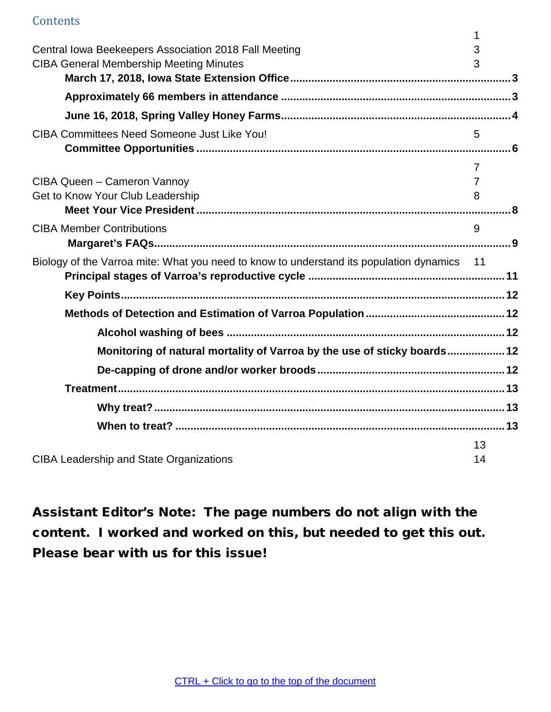## **[Contents](#page-0-0)**

|                                                                                            | 1              |  |
|--------------------------------------------------------------------------------------------|----------------|--|
| Central Iowa Beekeepers Association 2018 Fall Meeting                                      | 3              |  |
| <b>CIBA General Membership Meeting Minutes</b>                                             | 3              |  |
|                                                                                            |                |  |
|                                                                                            |                |  |
|                                                                                            |                |  |
| <b>CIBA Committees Need Someone Just Like You!</b>                                         | 5              |  |
|                                                                                            |                |  |
|                                                                                            | $\overline{7}$ |  |
| CIBA Queen - Cameron Vannoy                                                                | $\overline{7}$ |  |
| Get to Know Your Club Leadership                                                           | 8              |  |
|                                                                                            |                |  |
| <b>CIBA Member Contributions</b>                                                           | 9              |  |
|                                                                                            |                |  |
| Biology of the Varroa mite: What you need to know to understand its population dynamics 11 |                |  |
|                                                                                            |                |  |
|                                                                                            |                |  |
|                                                                                            |                |  |
| Monitoring of natural mortality of Varroa by the use of sticky boards 12                   |                |  |
|                                                                                            |                |  |
|                                                                                            |                |  |
|                                                                                            |                |  |
|                                                                                            |                |  |
|                                                                                            | 13             |  |
| <b>CIBA Leadership and State Organizations</b>                                             | 14             |  |

Assistant Editor's Note: The page numbers do not align with the content. I worked and worked on this, but needed to get this out. Please bear with us for this issue!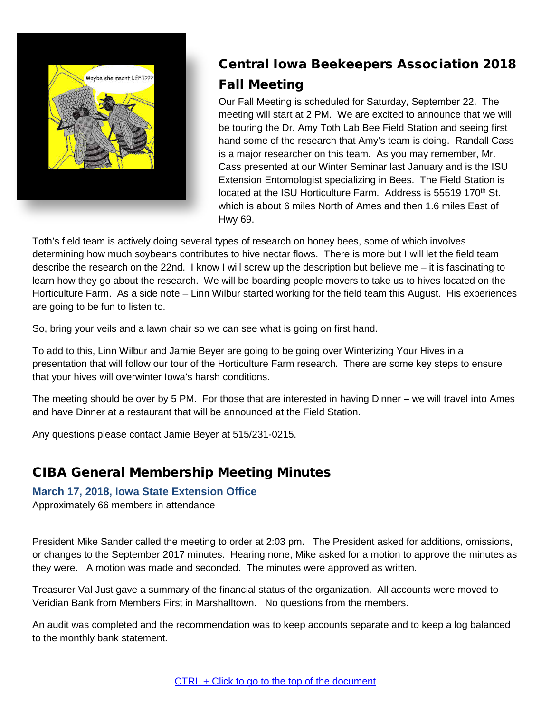<span id="page-2-0"></span>

# Central Iowa Beekeepers Association 2018 Fall Meeting

Our Fall Meeting is scheduled for Saturday, September 22. The meeting will start at 2 PM. We are excited to announce that we will be touring the Dr. Amy Toth Lab Bee Field Station and seeing first hand some of the research that Amy's team is doing. Randall Cass is a major researcher on this team. As you may remember, Mr. Cass presented at our Winter Seminar last January and is the ISU Extension Entomologist specializing in Bees. The Field Station is located at the ISU Horticulture Farm. Address is 55519 170<sup>th</sup> St. which is about 6 miles North of Ames and then 1.6 miles East of Hwy 69.

Toth's field team is actively doing several types of research on honey bees, some of which involves determining how much soybeans contributes to hive nectar flows. There is more but I will let the field team describe the research on the 22nd. I know I will screw up the description but believe me – it is fascinating to learn how they go about the research. We will be boarding people movers to take us to hives located on the Horticulture Farm. As a side note – Linn Wilbur started working for the field team this August. His experiences are going to be fun to listen to.

So, bring your veils and a lawn chair so we can see what is going on first hand.

To add to this, Linn Wilbur and Jamie Beyer are going to be going over Winterizing Your Hives in a presentation that will follow our tour of the Horticulture Farm research. There are some key steps to ensure that your hives will overwinter Iowa's harsh conditions.

The meeting should be over by 5 PM. For those that are interested in having Dinner – we will travel into Ames and have Dinner at a restaurant that will be announced at the Field Station.

Any questions please contact Jamie Beyer at 515/231-0215.

## <span id="page-2-1"></span>CIBA General Membership Meeting Minutes

## <span id="page-2-2"></span>**March 17, 2018, Iowa State Extension Office**

<span id="page-2-3"></span>Approximately 66 members in attendance

President Mike Sander called the meeting to order at 2:03 pm. The President asked for additions, omissions, or changes to the September 2017 minutes. Hearing none, Mike asked for a motion to approve the minutes as they were. A motion was made and seconded. The minutes were approved as written.

Treasurer Val Just gave a summary of the financial status of the organization. All accounts were moved to Veridian Bank from Members First in Marshalltown. No questions from the members.

An audit was completed and the recommendation was to keep accounts separate and to keep a log balanced to the monthly bank statement.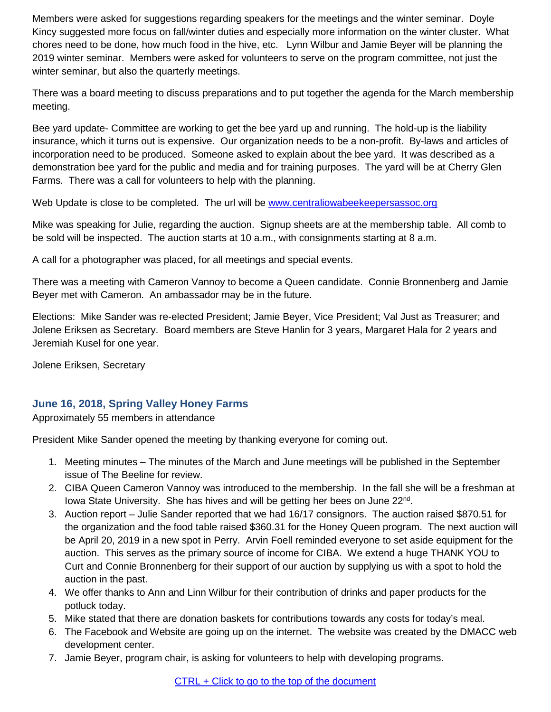Members were asked for suggestions regarding speakers for the meetings and the winter seminar. Doyle Kincy suggested more focus on fall/winter duties and especially more information on the winter cluster. What chores need to be done, how much food in the hive, etc. Lynn Wilbur and Jamie Beyer will be planning the 2019 winter seminar. Members were asked for volunteers to serve on the program committee, not just the winter seminar, but also the quarterly meetings.

There was a board meeting to discuss preparations and to put together the agenda for the March membership meeting.

Bee yard update- Committee are working to get the bee yard up and running. The hold-up is the liability insurance, which it turns out is expensive. Our organization needs to be a non-profit. By-laws and articles of incorporation need to be produced. Someone asked to explain about the bee yard. It was described as a demonstration bee yard for the public and media and for training purposes. The yard will be at Cherry Glen Farms. There was a call for volunteers to help with the planning.

Web Update is close to be completed. The url will be [www.centraliowabeekeepersassoc.org](http://www.centraliowabeekeepersassoc.org/)

Mike was speaking for Julie, regarding the auction. Signup sheets are at the membership table. All comb to be sold will be inspected. The auction starts at 10 a.m., with consignments starting at 8 a.m.

A call for a photographer was placed, for all meetings and special events.

There was a meeting with Cameron Vannoy to become a Queen candidate. Connie Bronnenberg and Jamie Beyer met with Cameron. An ambassador may be in the future.

Elections: Mike Sander was re-elected President; Jamie Beyer, Vice President; Val Just as Treasurer; and Jolene Eriksen as Secretary. Board members are Steve Hanlin for 3 years, Margaret Hala for 2 years and Jeremiah Kusel for one year.

Jolene Eriksen, Secretary

## <span id="page-3-0"></span>**June 16, 2018, Spring Valley Honey Farms**

Approximately 55 members in attendance

President Mike Sander opened the meeting by thanking everyone for coming out.

- 1. Meeting minutes The minutes of the March and June meetings will be published in the September issue of The Beeline for review.
- 2. CIBA Queen Cameron Vannoy was introduced to the membership. In the fall she will be a freshman at Iowa State University. She has hives and will be getting her bees on June  $22<sup>nd</sup>$ .
- 3. Auction report Julie Sander reported that we had 16/17 consignors. The auction raised \$870.51 for the organization and the food table raised \$360.31 for the Honey Queen program. The next auction will be April 20, 2019 in a new spot in Perry. Arvin Foell reminded everyone to set aside equipment for the auction. This serves as the primary source of income for CIBA. We extend a huge THANK YOU to Curt and Connie Bronnenberg for their support of our auction by supplying us with a spot to hold the auction in the past.
- 4. We offer thanks to Ann and Linn Wilbur for their contribution of drinks and paper products for the potluck today.
- 5. Mike stated that there are donation baskets for contributions towards any costs for today's meal.
- 6. The Facebook and Website are going up on the internet. The website was created by the DMACC web development center.
- 7. Jamie Beyer, program chair, is asking for volunteers to help with developing programs.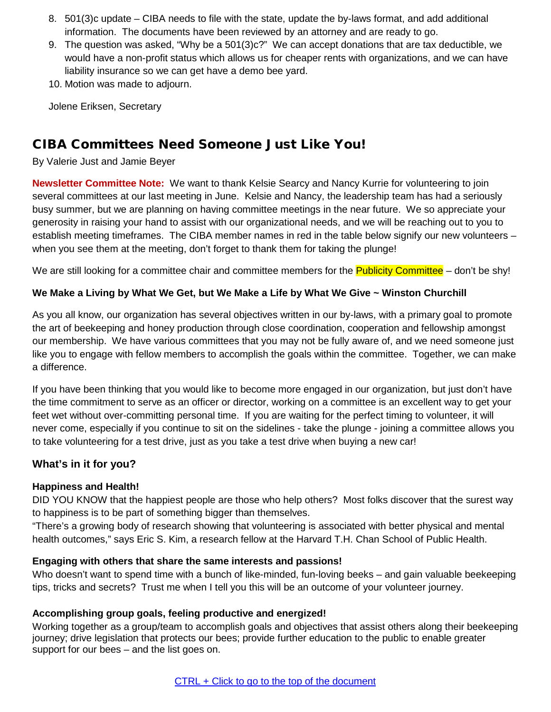- 8. 501(3)c update CIBA needs to file with the state, update the by-laws format, and add additional information. The documents have been reviewed by an attorney and are ready to go.
- 9. The question was asked, "Why be a 501(3)c?" We can accept donations that are tax deductible, we would have a non-profit status which allows us for cheaper rents with organizations, and we can have liability insurance so we can get have a demo bee yard.
- 10. Motion was made to adjourn.

Jolene Eriksen, Secretary

## <span id="page-4-0"></span>CIBA Committees Need Someone Just Like You!

By Valerie Just and Jamie Beyer

**Newsletter Committee Note:** We want to thank Kelsie Searcy and Nancy Kurrie for volunteering to join several committees at our last meeting in June. Kelsie and Nancy, the leadership team has had a seriously busy summer, but we are planning on having committee meetings in the near future. We so appreciate your generosity in raising your hand to assist with our organizational needs, and we will be reaching out to you to establish meeting timeframes. The CIBA member names in red in the table below signify our new volunteers – when you see them at the meeting, don't forget to thank them for taking the plunge!

We are still looking for a committee chair and committee members for the **Publicity Committee** – don't be shy!

#### We Make a Living by What We Get, but We Make a Life by What We Give ~ Winston Churchill

As you all know, our organization has several objectives written in our by-laws, with a primary goal to promote the art of beekeeping and honey production through close coordination, cooperation and fellowship amongst our membership. We have various committees that you may not be fully aware of, and we need someone just like you to engage with fellow members to accomplish the goals within the committee. Together, we can make a difference.

If you have been thinking that you would like to become more engaged in our organization, but just don't have the time commitment to serve as an officer or director, working on a committee is an excellent way to get your feet wet without over-committing personal time. If you are waiting for the perfect timing to volunteer, it will never come, especially if you continue to sit on the sidelines - take the plunge - joining a committee allows you to take volunteering for a test drive, just as you take a test drive when buying a new car!

## **What's in it for you?**

#### **Happiness and Health!**

DID YOU KNOW that the happiest people are those who help others? Most folks discover that the surest way to happiness is to be part of something bigger than themselves.

"There's a growing body of research showing that volunteering is associated with better physical and mental health outcomes," says Eric S. Kim, a research fellow at the Harvard T.H. Chan School of Public Health.

#### **Engaging with others that share the same interests and passions!**

Who doesn't want to spend time with a bunch of like-minded, fun-loving beeks – and gain valuable beekeeping tips, tricks and secrets? Trust me when I tell you this will be an outcome of your volunteer journey.

#### **Accomplishing group goals, feeling productive and energized!**

Working together as a group/team to accomplish goals and objectives that assist others along their beekeeping journey; drive legislation that protects our bees; provide further education to the public to enable greater support for our bees – and the list goes on.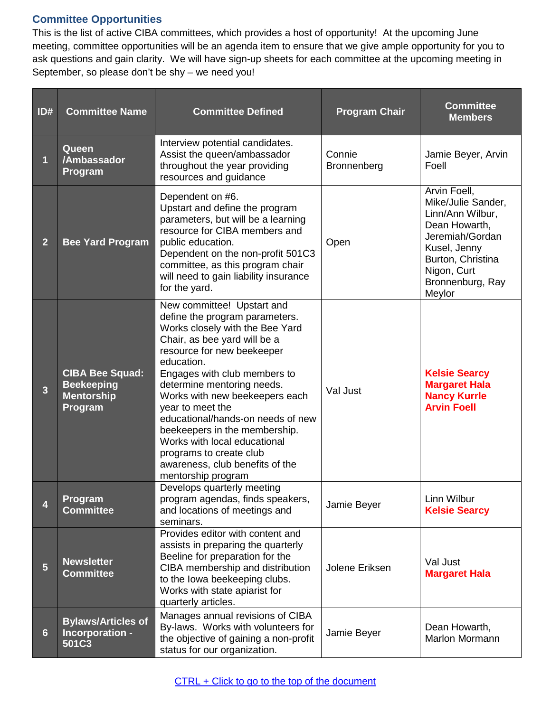## <span id="page-5-0"></span>**Committee Opportunities**

This is the list of active CIBA committees, which provides a host of opportunity! At the upcoming June meeting, committee opportunities will be an agenda item to ensure that we give ample opportunity for you to ask questions and gain clarity. We will have sign-up sheets for each committee at the upcoming meeting in September, so please don't be shy – we need you!

| ID#            | <b>Committee Name</b>                                                       | <b>Committee Defined</b>                                                                                                                                                                                                                                                                                                                                                                                                                                                                  | <b>Program Chair</b>  | <b>Committee</b><br><b>Members</b>                                                                                                                                           |
|----------------|-----------------------------------------------------------------------------|-------------------------------------------------------------------------------------------------------------------------------------------------------------------------------------------------------------------------------------------------------------------------------------------------------------------------------------------------------------------------------------------------------------------------------------------------------------------------------------------|-----------------------|------------------------------------------------------------------------------------------------------------------------------------------------------------------------------|
| 1              | Queen<br>/Ambassador<br>Program                                             | Interview potential candidates.<br>Assist the queen/ambassador<br>throughout the year providing<br>resources and guidance                                                                                                                                                                                                                                                                                                                                                                 | Connie<br>Bronnenberg | Jamie Beyer, Arvin<br>Foell                                                                                                                                                  |
| $\overline{2}$ | <b>Bee Yard Program</b>                                                     | Dependent on #6.<br>Upstart and define the program<br>parameters, but will be a learning<br>resource for CIBA members and<br>public education.<br>Dependent on the non-profit 501C3<br>committee, as this program chair<br>will need to gain liability insurance<br>for the yard.                                                                                                                                                                                                         | Open                  | Arvin Foell,<br>Mike/Julie Sander,<br>Linn/Ann Wilbur,<br>Dean Howarth,<br>Jeremiah/Gordan<br>Kusel, Jenny<br>Burton, Christina<br>Nigon, Curt<br>Bronnenburg, Ray<br>Meylor |
| $\overline{3}$ | <b>CIBA Bee Squad:</b><br><b>Beekeeping</b><br><b>Mentorship</b><br>Program | New committee! Upstart and<br>define the program parameters.<br>Works closely with the Bee Yard<br>Chair, as bee yard will be a<br>resource for new beekeeper<br>education.<br>Engages with club members to<br>determine mentoring needs.<br>Works with new beekeepers each<br>year to meet the<br>educational/hands-on needs of new<br>beekeepers in the membership.<br>Works with local educational<br>programs to create club<br>awareness, club benefits of the<br>mentorship program | Val Just              | <b>Kelsie Searcy</b><br><b>Margaret Hala</b><br><b>Nancy Kurrle</b><br><b>Arvin Foell</b>                                                                                    |
| 4              | Program<br><b>Committee</b>                                                 | Develops quarterly meeting<br>program agendas, finds speakers,<br>and locations of meetings and<br>seminars.                                                                                                                                                                                                                                                                                                                                                                              | Jamie Beyer           | <b>Linn Wilbur</b><br><b>Kelsie Searcy</b>                                                                                                                                   |
| $5\phantom{.}$ | <b>Newsletter</b><br><b>Committee</b>                                       | Provides editor with content and<br>assists in preparing the quarterly<br>Beeline for preparation for the<br>CIBA membership and distribution<br>to the lowa beekeeping clubs.<br>Works with state apiarist for<br>quarterly articles.                                                                                                                                                                                                                                                    | Jolene Eriksen        | Val Just<br><b>Margaret Hala</b>                                                                                                                                             |
| 6              | <b>Bylaws/Articles of</b><br>Incorporation -<br>501C3                       | Manages annual revisions of CIBA<br>By-laws. Works with volunteers for<br>the objective of gaining a non-profit<br>status for our organization.                                                                                                                                                                                                                                                                                                                                           | Jamie Beyer           | Dean Howarth,<br>Marlon Mormann                                                                                                                                              |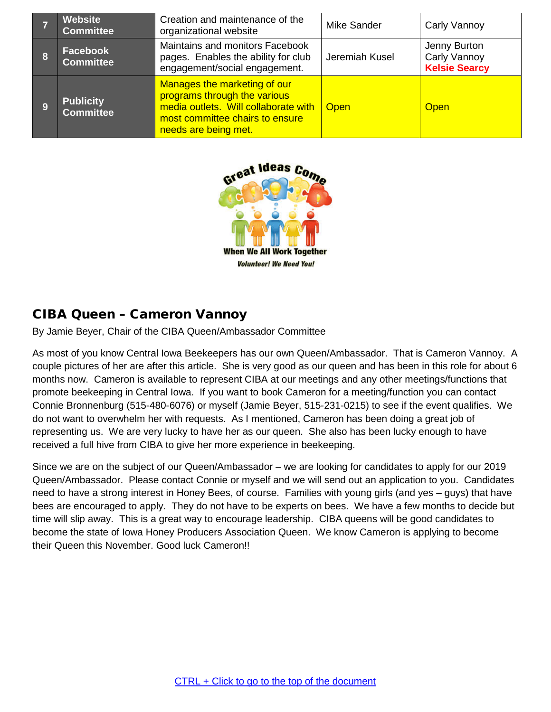<span id="page-6-0"></span>

| <b>Website</b><br><b>Committee</b>   | Creation and maintenance of the<br>organizational website                                                                                                       | <b>Mike Sander</b> | Carly Vannoy                                         |
|--------------------------------------|-----------------------------------------------------------------------------------------------------------------------------------------------------------------|--------------------|------------------------------------------------------|
| <b>Facebook</b><br><b>Committee</b>  | Maintains and monitors Facebook<br>pages. Enables the ability for club<br>engagement/social engagement.                                                         | Jeremiah Kusel     | Jenny Burton<br>Carly Vannoy<br><b>Kelsie Searcy</b> |
| <b>Publicity</b><br><b>Committee</b> | Manages the marketing of our<br>programs through the various<br>media outlets. Will collaborate with<br>most committee chairs to ensure<br>needs are being met. | <b>Open</b>        | <b>Open</b>                                          |



## <span id="page-6-1"></span>CIBA Queen – Cameron Vannoy

By Jamie Beyer, Chair of the CIBA Queen/Ambassador Committee

As most of you know Central Iowa Beekeepers has our own Queen/Ambassador. That is Cameron Vannoy. A couple pictures of her are after this article. She is very good as our queen and has been in this role for about 6 months now. Cameron is available to represent CIBA at our meetings and any other meetings/functions that promote beekeeping in Central Iowa. If you want to book Cameron for a meeting/function you can contact Connie Bronnenburg (515-480-6076) or myself (Jamie Beyer, 515-231-0215) to see if the event qualifies. We do not want to overwhelm her with requests. As I mentioned, Cameron has been doing a great job of representing us. We are very lucky to have her as our queen. She also has been lucky enough to have received a full hive from CIBA to give her more experience in beekeeping.

Since we are on the subject of our Queen/Ambassador – we are looking for candidates to apply for our 2019 Queen/Ambassador. Please contact Connie or myself and we will send out an application to you. Candidates need to have a strong interest in Honey Bees, of course. Families with young girls (and yes – guys) that have bees are encouraged to apply. They do not have to be experts on bees. We have a few months to decide but time will slip away. This is a great way to encourage leadership. CIBA queens will be good candidates to become the state of Iowa Honey Producers Association Queen. We know Cameron is applying to become their Queen this November. Good luck Cameron!!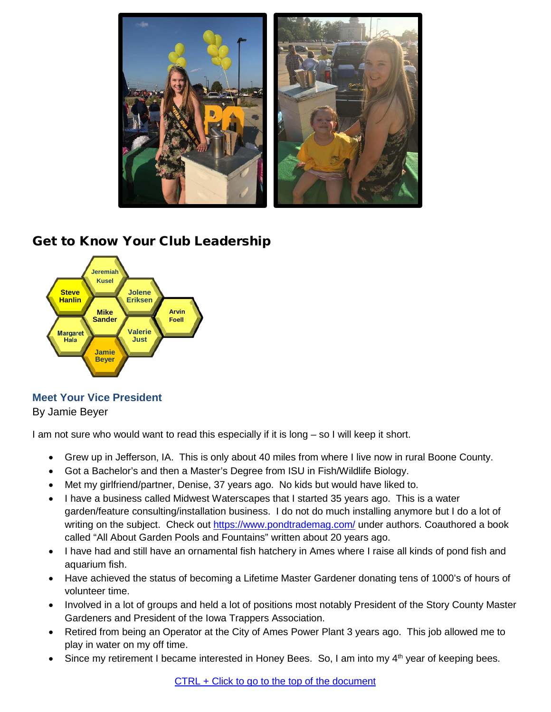

## <span id="page-7-0"></span>Get to Know Your Club Leadership



<span id="page-7-1"></span>**Meet Your Vice President** By Jamie Beyer

I am not sure who would want to read this especially if it is long – so I will keep it short.

- Grew up in Jefferson, IA. This is only about 40 miles from where I live now in rural Boone County.
- Got a Bachelor's and then a Master's Degree from ISU in Fish/Wildlife Biology.
- Met my girlfriend/partner, Denise, 37 years ago. No kids but would have liked to.
- I have a business called Midwest Waterscapes that I started 35 years ago. This is a water garden/feature consulting/installation business. I do not do much installing anymore but I do a lot of writing on the subject. Check out<https://www.pondtrademag.com/> under authors. Coauthored a book called "All About Garden Pools and Fountains" written about 20 years ago.
- I have had and still have an ornamental fish hatchery in Ames where I raise all kinds of pond fish and aquarium fish.
- Have achieved the status of becoming a Lifetime Master Gardener donating tens of 1000's of hours of volunteer time.
- Involved in a lot of groups and held a lot of positions most notably President of the Story County Master Gardeners and President of the Iowa Trappers Association.
- Retired from being an Operator at the City of Ames Power Plant 3 years ago. This job allowed me to play in water on my off time.
- Since my retirement I became interested in Honey Bees. So, I am into my 4<sup>th</sup> year of keeping bees.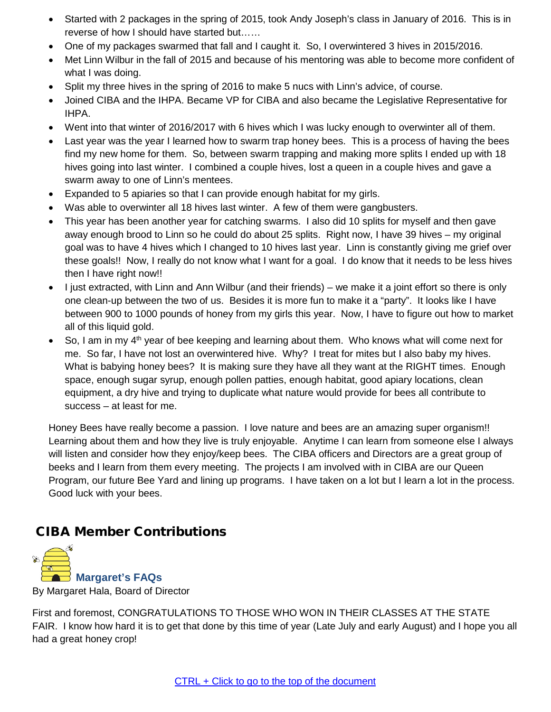- Started with 2 packages in the spring of 2015, took Andy Joseph's class in January of 2016. This is in reverse of how I should have started but……
- One of my packages swarmed that fall and I caught it. So, I overwintered 3 hives in 2015/2016.
- Met Linn Wilbur in the fall of 2015 and because of his mentoring was able to become more confident of what I was doing.
- Split my three hives in the spring of 2016 to make 5 nucs with Linn's advice, of course.
- Joined CIBA and the IHPA. Became VP for CIBA and also became the Legislative Representative for IHPA.
- Went into that winter of 2016/2017 with 6 hives which I was lucky enough to overwinter all of them.
- Last year was the year I learned how to swarm trap honey bees. This is a process of having the bees find my new home for them. So, between swarm trapping and making more splits I ended up with 18 hives going into last winter. I combined a couple hives, lost a queen in a couple hives and gave a swarm away to one of Linn's mentees.
- Expanded to 5 apiaries so that I can provide enough habitat for my girls.
- Was able to overwinter all 18 hives last winter. A few of them were gangbusters.
- This year has been another year for catching swarms. I also did 10 splits for myself and then gave away enough brood to Linn so he could do about 25 splits. Right now, I have 39 hives – my original goal was to have 4 hives which I changed to 10 hives last year. Linn is constantly giving me grief over these goals!! Now, I really do not know what I want for a goal. I do know that it needs to be less hives then I have right now!!
- I just extracted, with Linn and Ann Wilbur (and their friends) we make it a joint effort so there is only one clean-up between the two of us. Besides it is more fun to make it a "party". It looks like I have between 900 to 1000 pounds of honey from my girls this year. Now, I have to figure out how to market all of this liquid gold.
- So, I am in my  $4<sup>th</sup>$  year of bee keeping and learning about them. Who knows what will come next for me. So far, I have not lost an overwintered hive. Why? I treat for mites but I also baby my hives. What is babying honey bees? It is making sure they have all they want at the RIGHT times. Enough space, enough sugar syrup, enough pollen patties, enough habitat, good apiary locations, clean equipment, a dry hive and trying to duplicate what nature would provide for bees all contribute to success – at least for me.

Honey Bees have really become a passion. I love nature and bees are an amazing super organism!! Learning about them and how they live is truly enjoyable. Anytime I can learn from someone else I always will listen and consider how they enjoy/keep bees. The CIBA officers and Directors are a great group of beeks and I learn from them every meeting. The projects I am involved with in CIBA are our Queen Program, our future Bee Yard and lining up programs. I have taken on a lot but I learn a lot in the process. Good luck with your bees.

## <span id="page-8-0"></span>CIBA Member Contributions

<span id="page-8-1"></span>

By Margaret Hala, Board of Director

First and foremost, CONGRATULATIONS TO THOSE WHO WON IN THEIR CLASSES AT THE STATE FAIR. I know how hard it is to get that done by this time of year (Late July and early August) and I hope you all had a great honey crop!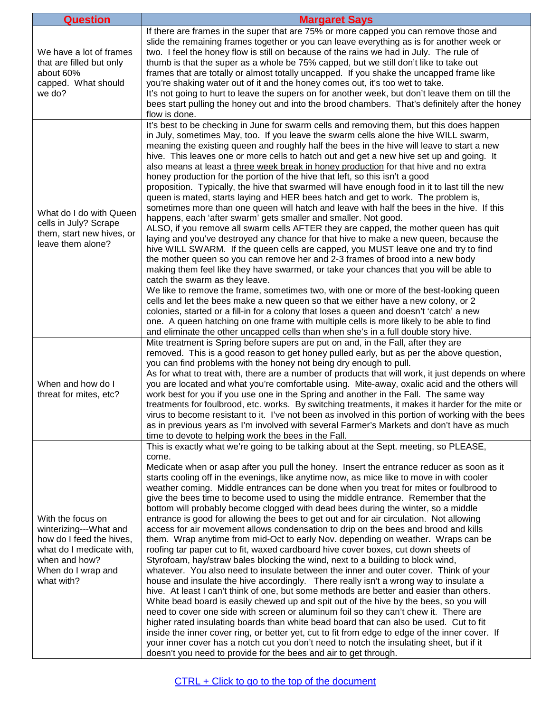| <b>Question</b>                                                                                                                                          | <b>Margaret Says</b>                                                                                                                                                                                                                                                                                                                                                                                                                                                                                                                                                                                                                                                                                                                                                                                                                                                                                                                                                                                                                                                                                                                                                                                                                                                                                                                                                                                                                                                                                                                                                                                                                                                                                                                                                                                                                                           |
|----------------------------------------------------------------------------------------------------------------------------------------------------------|----------------------------------------------------------------------------------------------------------------------------------------------------------------------------------------------------------------------------------------------------------------------------------------------------------------------------------------------------------------------------------------------------------------------------------------------------------------------------------------------------------------------------------------------------------------------------------------------------------------------------------------------------------------------------------------------------------------------------------------------------------------------------------------------------------------------------------------------------------------------------------------------------------------------------------------------------------------------------------------------------------------------------------------------------------------------------------------------------------------------------------------------------------------------------------------------------------------------------------------------------------------------------------------------------------------------------------------------------------------------------------------------------------------------------------------------------------------------------------------------------------------------------------------------------------------------------------------------------------------------------------------------------------------------------------------------------------------------------------------------------------------------------------------------------------------------------------------------------------------|
| We have a lot of frames<br>that are filled but only<br>about 60%<br>capped. What should<br>we do?                                                        | If there are frames in the super that are 75% or more capped you can remove those and<br>slide the remaining frames together or you can leave everything as is for another week or<br>two. I feel the honey flow is still on because of the rains we had in July. The rule of<br>thumb is that the super as a whole be 75% capped, but we still don't like to take out<br>frames that are totally or almost totally uncapped. If you shake the uncapped frame like<br>you're shaking water out of it and the honey comes out, it's too wet to take.<br>It's not going to hurt to leave the supers on for another week, but don't leave them on till the<br>bees start pulling the honey out and into the brood chambers. That's definitely after the honey<br>flow is done.                                                                                                                                                                                                                                                                                                                                                                                                                                                                                                                                                                                                                                                                                                                                                                                                                                                                                                                                                                                                                                                                                    |
| What do I do with Queen<br>cells in July? Scrape<br>them, start new hives, or<br>leave them alone?                                                       | It's best to be checking in June for swarm cells and removing them, but this does happen<br>in July, sometimes May, too. If you leave the swarm cells alone the hive WILL swarm,<br>meaning the existing queen and roughly half the bees in the hive will leave to start a new<br>hive. This leaves one or more cells to hatch out and get a new hive set up and going. It<br>also means at least a three week break in honey production for that hive and no extra<br>honey production for the portion of the hive that left, so this isn't a good<br>proposition. Typically, the hive that swarmed will have enough food in it to last till the new<br>queen is mated, starts laying and HER bees hatch and get to work. The problem is,<br>sometimes more than one queen will hatch and leave with half the bees in the hive. If this<br>happens, each 'after swarm' gets smaller and smaller. Not good.<br>ALSO, if you remove all swarm cells AFTER they are capped, the mother queen has quit<br>laying and you've destroyed any chance for that hive to make a new queen, because the<br>hive WILL SWARM. If the queen cells are capped, you MUST leave one and try to find<br>the mother queen so you can remove her and 2-3 frames of brood into a new body<br>making them feel like they have swarmed, or take your chances that you will be able to<br>catch the swarm as they leave.<br>We like to remove the frame, sometimes two, with one or more of the best-looking queen<br>cells and let the bees make a new queen so that we either have a new colony, or 2<br>colonies, started or a fill-in for a colony that loses a queen and doesn't 'catch' a new<br>one. A queen hatching on one frame with multiple cells is more likely to be able to find<br>and eliminate the other uncapped cells than when she's in a full double story hive. |
| When and how do I<br>threat for mites, etc?                                                                                                              | Mite treatment is Spring before supers are put on and, in the Fall, after they are<br>removed. This is a good reason to get honey pulled early, but as per the above question,<br>you can find problems with the honey not being dry enough to pull.<br>As for what to treat with, there are a number of products that will work, it just depends on where<br>you are located and what you're comfortable using. Mite-away, oxalic acid and the others will<br>work best for you if you use one in the Spring and another in the Fall. The same way<br>treatments for foulbrood, etc. works. By switching treatments, it makes it harder for the mite or<br>virus to become resistant to it. I've not been as involved in this portion of working with the bees<br>as in previous years as I'm involved with several Farmer's Markets and don't have as much<br>time to devote to helping work the bees in the Fall.                                                                                                                                                                                                                                                                                                                                                                                                                                                                                                                                                                                                                                                                                                                                                                                                                                                                                                                                           |
| With the focus on<br>winterizing---What and<br>how do I feed the hives,<br>what do I medicate with,<br>when and how?<br>When do I wrap and<br>what with? | This is exactly what we're going to be talking about at the Sept. meeting, so PLEASE,<br>come.<br>Medicate when or asap after you pull the honey. Insert the entrance reducer as soon as it<br>starts cooling off in the evenings, like anytime now, as mice like to move in with cooler<br>weather coming. Middle entrances can be done when you treat for mites or foulbrood to<br>give the bees time to become used to using the middle entrance. Remember that the<br>bottom will probably become clogged with dead bees during the winter, so a middle<br>entrance is good for allowing the bees to get out and for air circulation. Not allowing<br>access for air movement allows condensation to drip on the bees and brood and kills<br>them. Wrap anytime from mid-Oct to early Nov. depending on weather. Wraps can be<br>roofing tar paper cut to fit, waxed cardboard hive cover boxes, cut down sheets of<br>Styrofoam, hay/straw bales blocking the wind, next to a building to block wind,<br>whatever. You also need to insulate between the inner and outer cover. Think of your<br>house and insulate the hive accordingly. There really isn't a wrong way to insulate a<br>hive. At least I can't think of one, but some methods are better and easier than others.<br>White bead board is easily chewed up and spit out of the hive by the bees, so you will<br>need to cover one side with screen or aluminum foil so they can't chew it. There are<br>higher rated insulating boards than white bead board that can also be used. Cut to fit<br>inside the inner cover ring, or better yet, cut to fit from edge to edge of the inner cover. If<br>your inner cover has a notch cut you don't need to notch the insulating sheet, but if it<br>doesn't you need to provide for the bees and air to get through.                         |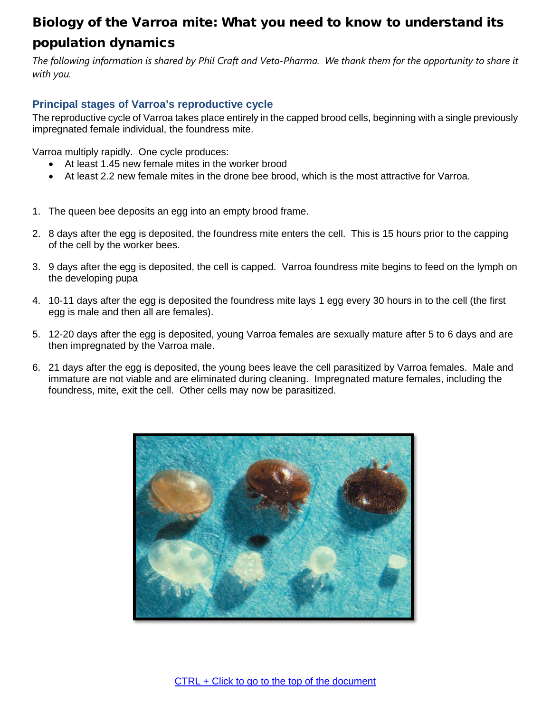# <span id="page-10-0"></span>Biology of the Varroa mite: What you need to know to understand its population dynamics

*The following information is shared by Phil Craft and Veto-Pharma. We thank them for the opportunity to share it with you.*

## <span id="page-10-1"></span>**Principal stages of Varroa's reproductive cycle**

The reproductive cycle of Varroa takes place entirely in the capped brood cells, beginning with a single previously impregnated female individual, the foundress mite.

Varroa multiply rapidly. One cycle produces:

- At least 1.45 new female mites in the worker brood
- At least 2.2 new female mites in the drone bee brood, which is the most attractive for Varroa.
- 1. The queen bee deposits an egg into an empty brood frame.
- 2. 8 days after the egg is deposited, the foundress mite enters the cell. This is 15 hours prior to the capping of the cell by the worker bees.
- 3. 9 days after the egg is deposited, the cell is capped. Varroa foundress mite begins to feed on the lymph on the developing pupa
- 4. 10-11 days after the egg is deposited the foundress mite lays 1 egg every 30 hours in to the cell (the first egg is male and then all are females).
- 5. 12-20 days after the egg is deposited, young Varroa females are sexually mature after 5 to 6 days and are then impregnated by the Varroa male.
- 6. 21 days after the egg is deposited, the young bees leave the cell parasitized by Varroa females. Male and immature are not viable and are eliminated during cleaning. Impregnated mature females, including the foundress, mite, exit the cell. Other cells may now be parasitized.

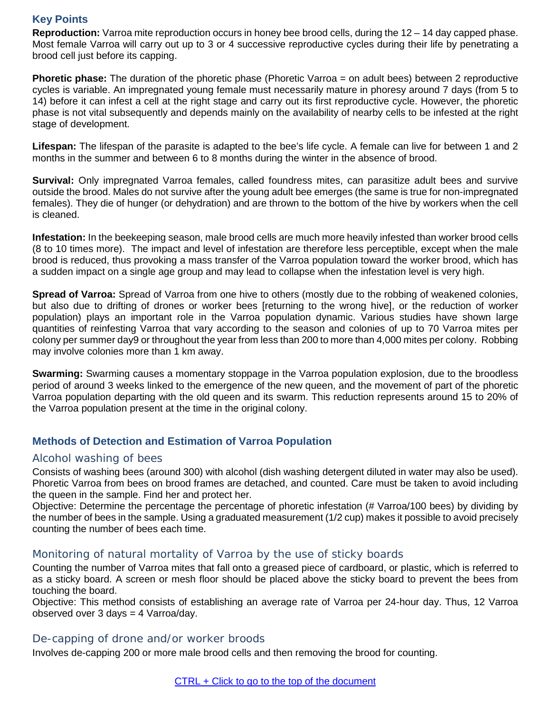## <span id="page-11-0"></span>**Key Points**

**Reproduction:** Varroa mite reproduction occurs in honey bee brood cells, during the 12 – 14 day capped phase. Most female Varroa will carry out up to 3 or 4 successive reproductive cycles during their life by penetrating a brood cell just before its capping.

**Phoretic phase:** The duration of the phoretic phase (Phoretic Varroa = on adult bees) between 2 reproductive cycles is variable. An impregnated young female must necessarily mature in phoresy around 7 days (from 5 to 14) before it can infest a cell at the right stage and carry out its first reproductive cycle. However, the phoretic phase is not vital subsequently and depends mainly on the availability of nearby cells to be infested at the right stage of development.

**Lifespan:** The lifespan of the parasite is adapted to the bee's life cycle. A female can live for between 1 and 2 months in the summer and between 6 to 8 months during the winter in the absence of brood.

**Survival:** Only impregnated Varroa females, called foundress mites, can parasitize adult bees and survive outside the brood. Males do not survive after the young adult bee emerges (the same is true for non-impregnated females). They die of hunger (or dehydration) and are thrown to the bottom of the hive by workers when the cell is cleaned.

**Infestation:** In the beekeeping season, male brood cells are much more heavily infested than worker brood cells (8 to 10 times more). The impact and level of infestation are therefore less perceptible, except when the male brood is reduced, thus provoking a mass transfer of the Varroa population toward the worker brood, which has a sudden impact on a single age group and may lead to collapse when the infestation level is very high.

**Spread of Varroa:** Spread of Varroa from one hive to others (mostly due to the robbing of weakened colonies, but also due to drifting of drones or worker bees [returning to the wrong hive], or the reduction of worker population) plays an important role in the Varroa population dynamic. Various studies have shown large quantities of reinfesting Varroa that vary according to the season and colonies of up to 70 Varroa mites per colony per summer day9 or throughout the year from less than 200 to more than 4,000 mites per colony. Robbing may involve colonies more than 1 km away.

**Swarming:** Swarming causes a momentary stoppage in the Varroa population explosion, due to the broodless period of around 3 weeks linked to the emergence of the new queen, and the movement of part of the phoretic Varroa population departing with the old queen and its swarm. This reduction represents around 15 to 20% of the Varroa population present at the time in the original colony.

## <span id="page-11-1"></span>**Methods of Detection and Estimation of Varroa Population**

#### <span id="page-11-2"></span>Alcohol washing of bees

Consists of washing bees (around 300) with alcohol (dish washing detergent diluted in water may also be used). Phoretic Varroa from bees on brood frames are detached, and counted. Care must be taken to avoid including the queen in the sample. Find her and protect her.

Objective: Determine the percentage the percentage of phoretic infestation (# Varroa/100 bees) by dividing by the number of bees in the sample. Using a graduated measurement (1/2 cup) makes it possible to avoid precisely counting the number of bees each time.

## <span id="page-11-3"></span>Monitoring of natural mortality of Varroa by the use of sticky boards

Counting the number of Varroa mites that fall onto a greased piece of cardboard, or plastic, which is referred to as a sticky board. A screen or mesh floor should be placed above the sticky board to prevent the bees from touching the board.

Objective: This method consists of establishing an average rate of Varroa per 24-hour day. Thus, 12 Varroa observed over 3 days = 4 Varroa/day.

#### <span id="page-11-4"></span>De-capping of drone and/or worker broods

Involves de-capping 200 or more male brood cells and then removing the brood for counting.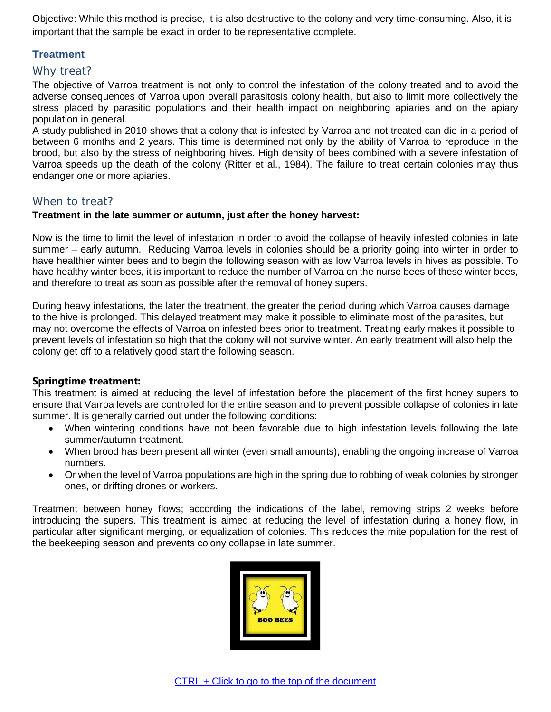Objective: While this method is precise, it is also destructive to the colony and very time-consuming. Also, it is important that the sample be exact in order to be representative complete.

## <span id="page-12-0"></span>**Treatment**

## <span id="page-12-1"></span>Why treat?

The objective of Varroa treatment is not only to control the infestation of the colony treated and to avoid the adverse consequences of Varroa upon overall parasitosis colony health, but also to limit more collectively the stress placed by parasitic populations and their health impact on neighboring apiaries and on the apiary population in general.

A study published in 2010 shows that a colony that is infested by Varroa and not treated can die in a period of between 6 months and 2 years. This time is determined not only by the ability of Varroa to reproduce in the brood, but also by the stress of neighboring hives. High density of bees combined with a severe infestation of Varroa speeds up the death of the colony (Ritter et al., 1984). The failure to treat certain colonies may thus endanger one or more apiaries.

## <span id="page-12-2"></span>When to treat?

#### **Treatment in the late summer or autumn, just after the honey harvest:**

Now is the time to limit the level of infestation in order to avoid the collapse of heavily infested colonies in late summer – early autumn. Reducing Varroa levels in colonies should be a priority going into winter in order to have healthier winter bees and to begin the following season with as low Varroa levels in hives as possible. To have healthy winter bees, it is important to reduce the number of Varroa on the nurse bees of these winter bees, and therefore to treat as soon as possible after the removal of honey supers.

During heavy infestations, the later the treatment, the greater the period during which Varroa causes damage to the hive is prolonged. This delayed treatment may make it possible to eliminate most of the parasites, but may not overcome the effects of Varroa on infested bees prior to treatment. Treating early makes it possible to prevent levels of infestation so high that the colony will not survive winter. An early treatment will also help the colony get off to a relatively good start the following season.

## **Springtime treatment:**

This treatment is aimed at reducing the level of infestation before the placement of the first honey supers to ensure that Varroa levels are controlled for the entire season and to prevent possible collapse of colonies in late summer. It is generally carried out under the following conditions:

- When wintering conditions have not been favorable due to high infestation levels following the late summer/autumn treatment.
- When brood has been present all winter (even small amounts), enabling the ongoing increase of Varroa numbers.
- Or when the level of Varroa populations are high in the spring due to robbing of weak colonies by stronger ones, or drifting drones or workers.

<span id="page-12-3"></span>Treatment between honey flows; according the indications of the label, removing strips 2 weeks before introducing the supers. This treatment is aimed at reducing the level of infestation during a honey flow, in particular after significant merging, or equalization of colonies. This reduces the mite population for the rest of the beekeeping season and prevents colony collapse in late summer.